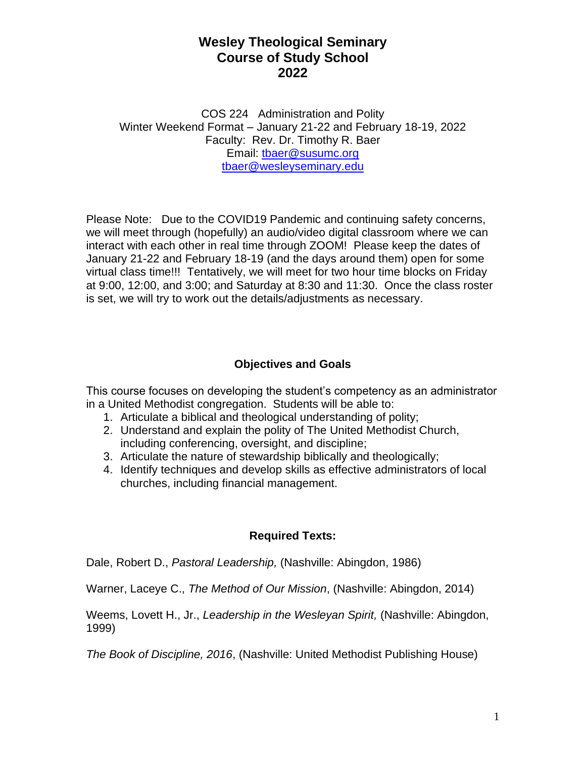COS 224 Administration and Polity Winter Weekend Format – January 21-22 and February 18-19, 2022 Faculty: Rev. Dr. Timothy R. Baer Email: [tbaer@susumc.org](mailto:tbaer@susumc.org) [tbaer@wesleyseminary.edu](mailto:tbaer@wesleyseminary.edu)

Please Note: Due to the COVID19 Pandemic and continuing safety concerns, we will meet through (hopefully) an audio/video digital classroom where we can interact with each other in real time through ZOOM! Please keep the dates of January 21-22 and February 18-19 (and the days around them) open for some virtual class time!!! Tentatively, we will meet for two hour time blocks on Friday at 9:00, 12:00, and 3:00; and Saturday at 8:30 and 11:30. Once the class roster is set, we will try to work out the details/adjustments as necessary.

## **Objectives and Goals**

This course focuses on developing the student's competency as an administrator in a United Methodist congregation. Students will be able to:

- 1. Articulate a biblical and theological understanding of polity;
- 2. Understand and explain the polity of The United Methodist Church, including conferencing, oversight, and discipline;
- 3. Articulate the nature of stewardship biblically and theologically;
- 4. Identify techniques and develop skills as effective administrators of local churches, including financial management.

### **Required Texts:**

Dale, Robert D., *Pastoral Leadership,* (Nashville: Abingdon, 1986)

Warner, Laceye C., *The Method of Our Mission*, (Nashville: Abingdon, 2014)

Weems, Lovett H., Jr., *Leadership in the Wesleyan Spirit,* (Nashville: Abingdon, 1999)

*The Book of Discipline, 2016*, (Nashville: United Methodist Publishing House)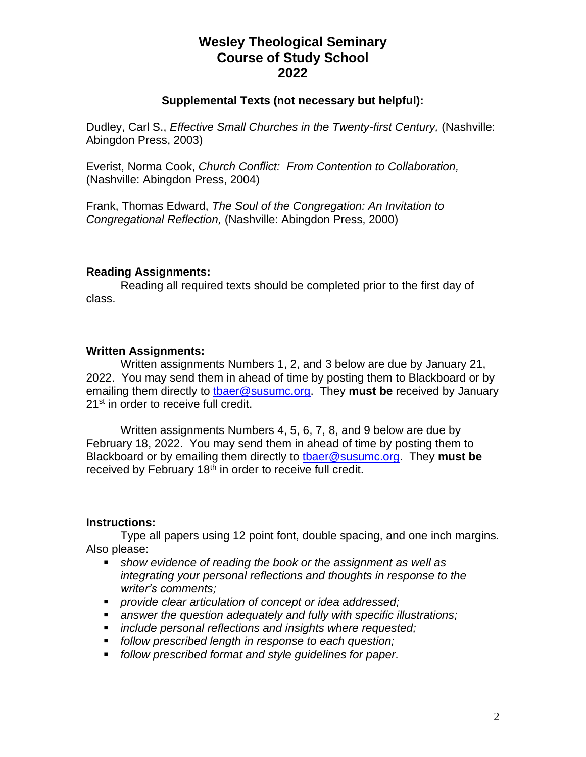#### **Supplemental Texts (not necessary but helpful):**

Dudley, Carl S., *Effective Small Churches in the Twenty-first Century,* (Nashville: Abingdon Press, 2003)

Everist, Norma Cook, *Church Conflict: From Contention to Collaboration,* (Nashville: Abingdon Press, 2004)

Frank, Thomas Edward, *The Soul of the Congregation: An Invitation to Congregational Reflection,* (Nashville: Abingdon Press, 2000)

#### **Reading Assignments:**

Reading all required texts should be completed prior to the first day of class.

#### **Written Assignments:**

Written assignments Numbers 1, 2, and 3 below are due by January 21, 2022. You may send them in ahead of time by posting them to Blackboard or by emailing them directly to [tbaer@susumc.org.](mailto:tbaer@susumc.org) They **must be** received by January 21<sup>st</sup> in order to receive full credit.

Written assignments Numbers 4, 5, 6, 7, 8, and 9 below are due by February 18, 2022. You may send them in ahead of time by posting them to Blackboard or by emailing them directly to [tbaer@susumc.org.](mailto:tbaer@susumc.org) They **must be** received by February  $18<sup>th</sup>$  in order to receive full credit.

#### **Instructions:**

Type all papers using 12 point font, double spacing, and one inch margins. Also please:

- *show evidence of reading the book or the assignment as well as integrating your personal reflections and thoughts in response to the writer's comments;*
- *provide clear articulation of concept or idea addressed;*
- answer the question adequately and fully with specific illustrations;
- *include personal reflections and insights where requested:*
- *follow prescribed length in response to each question;*
- *follow prescribed format and style guidelines for paper.*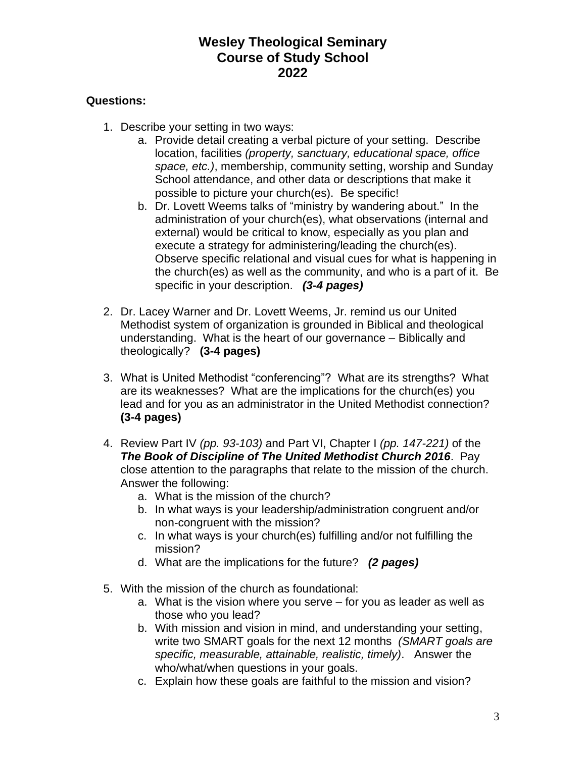### **Questions:**

- 1. Describe your setting in two ways:
	- a. Provide detail creating a verbal picture of your setting. Describe location, facilities *(property, sanctuary, educational space, office space, etc.)*, membership, community setting, worship and Sunday School attendance, and other data or descriptions that make it possible to picture your church(es). Be specific!
	- b. Dr. Lovett Weems talks of "ministry by wandering about." In the administration of your church(es), what observations (internal and external) would be critical to know, especially as you plan and execute a strategy for administering/leading the church(es). Observe specific relational and visual cues for what is happening in the church(es) as well as the community, and who is a part of it. Be specific in your description. *(3-4 pages)*
- 2. Dr. Lacey Warner and Dr. Lovett Weems, Jr. remind us our United Methodist system of organization is grounded in Biblical and theological understanding. What is the heart of our governance – Biblically and theologically? **(3-4 pages)**
- 3. What is United Methodist "conferencing"? What are its strengths? What are its weaknesses? What are the implications for the church(es) you lead and for you as an administrator in the United Methodist connection? **(3-4 pages)**
- 4. Review Part IV *(pp. 93-103)* and Part VI, Chapter I *(pp. 147-221)* of the *The Book of Discipline of The United Methodist Church 2016*. Pay close attention to the paragraphs that relate to the mission of the church. Answer the following:
	- a. What is the mission of the church?
	- b. In what ways is your leadership/administration congruent and/or non-congruent with the mission?
	- c. In what ways is your church(es) fulfilling and/or not fulfilling the mission?
	- d. What are the implications for the future? *(2 pages)*
- 5. With the mission of the church as foundational:
	- a. What is the vision where you serve for you as leader as well as those who you lead?
	- b. With mission and vision in mind, and understanding your setting, write two SMART goals for the next 12 months *(SMART goals are specific, measurable, attainable, realistic, timely)*. Answer the who/what/when questions in your goals.
	- c. Explain how these goals are faithful to the mission and vision?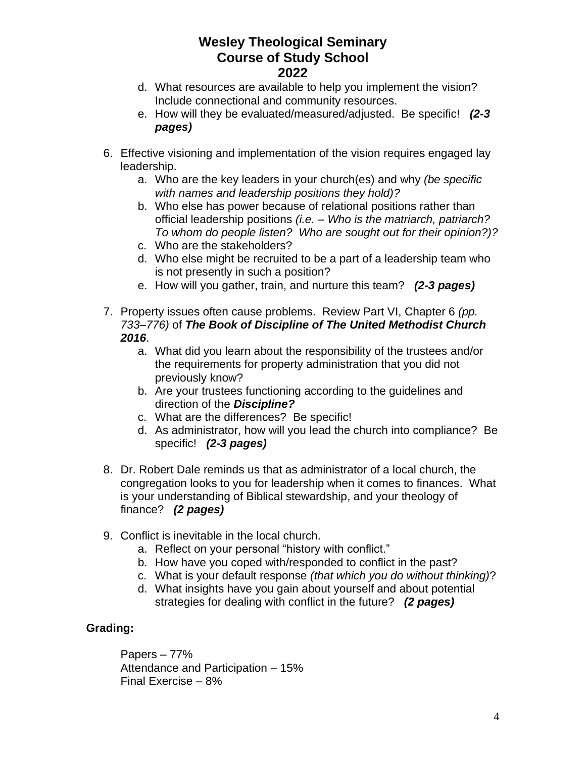- d. What resources are available to help you implement the vision? Include connectional and community resources.
- e. How will they be evaluated/measured/adjusted. Be specific! *(2-3 pages)*
- 6. Effective visioning and implementation of the vision requires engaged lay leadership.
	- a. Who are the key leaders in your church(es) and why *(be specific with names and leadership positions they hold)?*
	- b. Who else has power because of relational positions rather than official leadership positions *(i.e. – Who is the matriarch, patriarch? To whom do people listen? Who are sought out for their opinion?)?*
	- c. Who are the stakeholders?
	- d. Who else might be recruited to be a part of a leadership team who is not presently in such a position?
	- e. How will you gather, train, and nurture this team? *(2-3 pages)*
- 7. Property issues often cause problems. Review Part VI, Chapter 6 *(pp. 733–776)* of *The Book of Discipline of The United Methodist Church 2016*.
	- a. What did you learn about the responsibility of the trustees and/or the requirements for property administration that you did not previously know?
	- b. Are your trustees functioning according to the guidelines and direction of the *Discipline?*
	- c. What are the differences? Be specific!
	- d. As administrator, how will you lead the church into compliance? Be specific! *(2-3 pages)*
- 8. Dr. Robert Dale reminds us that as administrator of a local church, the congregation looks to you for leadership when it comes to finances. What is your understanding of Biblical stewardship, and your theology of finance? *(2 pages)*
- 9. Conflict is inevitable in the local church.
	- a. Reflect on your personal "history with conflict."
	- b. How have you coped with/responded to conflict in the past?
	- c. What is your default response *(that which you do without thinking)*?
	- d. What insights have you gain about yourself and about potential strategies for dealing with conflict in the future? *(2 pages)*

## **Grading:**

Papers – 77% Attendance and Participation – 15% Final Exercise – 8%